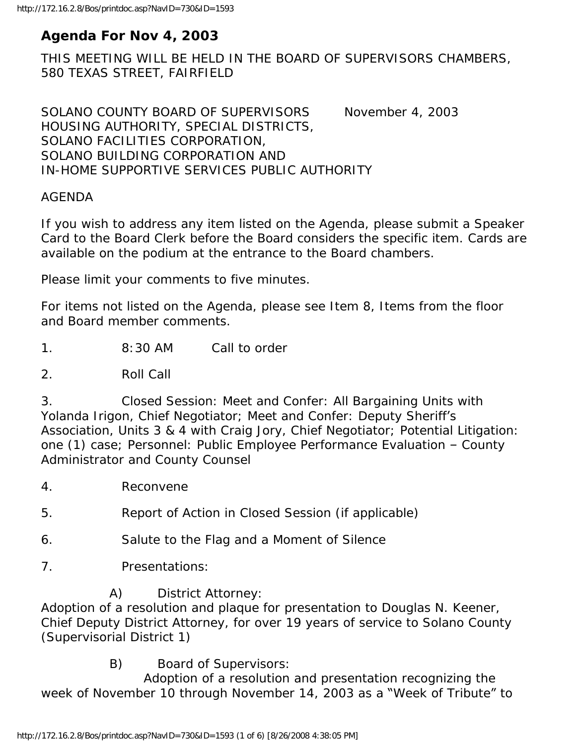# **Agenda For Nov 4, 2003**

THIS MEETING WILL BE HELD IN THE BOARD OF SUPERVISORS CHAMBERS, 580 TEXAS STREET, FAIRFIELD

SOLANO COUNTY BOARD OF SUPERVISORS November 4, 2003 HOUSING AUTHORITY, SPECIAL DISTRICTS, SOLANO FACILITIES CORPORATION, SOLANO BUILDING CORPORATION AND IN-HOME SUPPORTIVE SERVICES PUBLIC AUTHORITY

#### AGENDA

If you wish to address any item listed on the Agenda, please submit a Speaker Card to the Board Clerk before the Board considers the specific item. Cards are available on the podium at the entrance to the Board chambers.

Please limit your comments to five minutes.

For items not listed on the Agenda, please see Item 8, Items from the floor and Board member comments.

1. 8:30 AM Call to order

2. Roll Call

3. Closed Session: Meet and Confer: All Bargaining Units with Yolanda Irigon, Chief Negotiator; Meet and Confer: Deputy Sheriff's Association, Units 3 & 4 with Craig Jory, Chief Negotiator; Potential Litigation: one (1) case; Personnel: Public Employee Performance Evaluation – County Administrator and County Counsel

4. Reconvene

5. Report of Action in Closed Session (if applicable)

- 6. Salute to the Flag and a Moment of Silence
- 7. Presentations:

A) District Attorney:

Adoption of a resolution and plaque for presentation to Douglas N. Keener, Chief Deputy District Attorney, for over 19 years of service to Solano County (Supervisorial District 1)

B) Board of Supervisors:

 Adoption of a resolution and presentation recognizing the week of November 10 through November 14, 2003 as a "Week of Tribute" to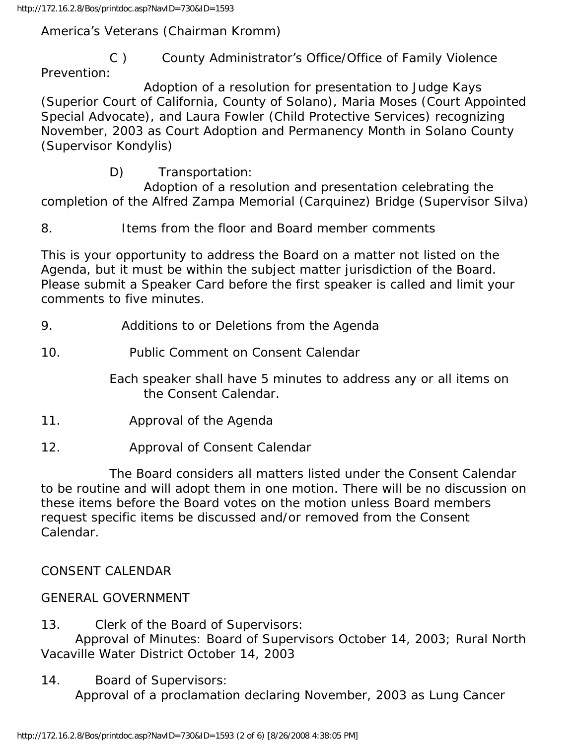http://172.16.2.8/Bos/printdoc.asp?NavID=730&ID=1593

America's Veterans (Chairman Kromm)

 C ) County Administrator's Office/Office of Family Violence Prevention:

 Adoption of a resolution for presentation to Judge Kays (Superior Court of California, County of Solano), Maria Moses (Court Appointed Special Advocate), and Laura Fowler (Child Protective Services) recognizing November, 2003 as Court Adoption and Permanency Month in Solano County (Supervisor Kondylis)

D) Transportation:

 Adoption of a resolution and presentation celebrating the completion of the Alfred Zampa Memorial (Carquinez) Bridge (Supervisor Silva)

8. Items from the floor and Board member comments

This is your opportunity to address the Board on a matter not listed on the Agenda, but it must be within the subject matter jurisdiction of the Board. Please submit a Speaker Card before the first speaker is called and limit your comments to five minutes.

9. Additions to or Deletions from the Agenda

10. Public Comment on Consent Calendar

 Each speaker shall have 5 minutes to address any or all items on the Consent Calendar.

- 11. Approval of the Agenda
- 12. Approval of Consent Calendar

 The Board considers all matters listed under the Consent Calendar to be routine and will adopt them in one motion. There will be no discussion on these items before the Board votes on the motion unless Board members request specific items be discussed and/or removed from the Consent Calendar.

CONSENT CALENDAR

#### GENERAL GOVERNMENT

13. Clerk of the Board of Supervisors:

 Approval of Minutes: Board of Supervisors October 14, 2003; Rural North Vacaville Water District October 14, 2003

14. Board of Supervisors:

Approval of a proclamation declaring November, 2003 as Lung Cancer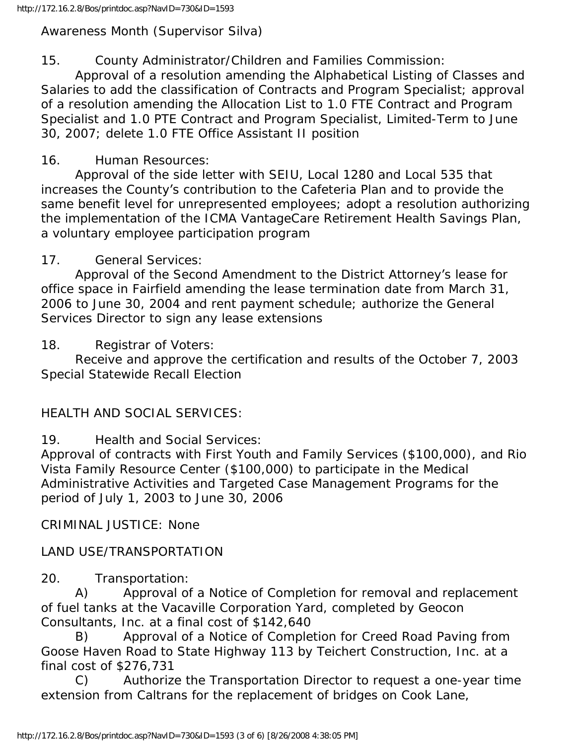Awareness Month (Supervisor Silva)

### 15. County Administrator/Children and Families Commission:

 Approval of a resolution amending the Alphabetical Listing of Classes and Salaries to add the classification of Contracts and Program Specialist; approval of a resolution amending the Allocation List to 1.0 FTE Contract and Program Specialist and 1.0 PTE Contract and Program Specialist, Limited-Term to June 30, 2007; delete 1.0 FTE Office Assistant II position

### 16. Human Resources:

 Approval of the side letter with SEIU, Local 1280 and Local 535 that increases the County's contribution to the Cafeteria Plan and to provide the same benefit level for unrepresented employees; adopt a resolution authorizing the implementation of the ICMA VantageCare Retirement Health Savings Plan, a voluntary employee participation program

### 17. General Services:

 Approval of the Second Amendment to the District Attorney's lease for office space in Fairfield amending the lease termination date from March 31, 2006 to June 30, 2004 and rent payment schedule; authorize the General Services Director to sign any lease extensions

18. Registrar of Voters:

 Receive and approve the certification and results of the October 7, 2003 Special Statewide Recall Election

# HEALTH AND SOCIAL SERVICES:

19. Health and Social Services:

Approval of contracts with First Youth and Family Services (\$100,000), and Rio Vista Family Resource Center (\$100,000) to participate in the Medical Administrative Activities and Targeted Case Management Programs for the period of July 1, 2003 to June 30, 2006

CRIMINAL JUSTICE: None

# LAND USE/TRANSPORTATION

20. Transportation:

 A) Approval of a Notice of Completion for removal and replacement of fuel tanks at the Vacaville Corporation Yard, completed by Geocon Consultants, Inc. at a final cost of \$142,640

 B) Approval of a Notice of Completion for Creed Road Paving from Goose Haven Road to State Highway 113 by Teichert Construction, Inc. at a final cost of \$276,731

 C) Authorize the Transportation Director to request a one-year time extension from Caltrans for the replacement of bridges on Cook Lane,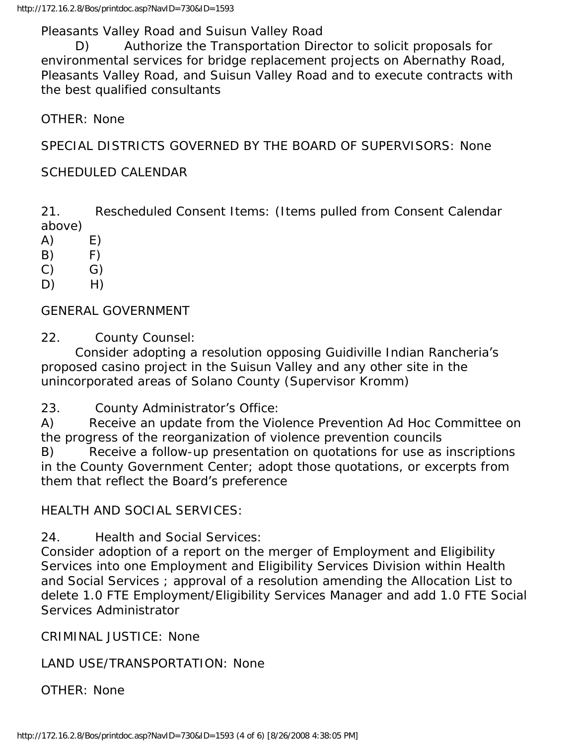Pleasants Valley Road and Suisun Valley Road

 D) Authorize the Transportation Director to solicit proposals for environmental services for bridge replacement projects on Abernathy Road, Pleasants Valley Road, and Suisun Valley Road and to execute contracts with the best qualified consultants

OTHER: None

SPECIAL DISTRICTS GOVERNED BY THE BOARD OF SUPERVISORS: None

#### SCHEDULED CALENDAR

21. Rescheduled Consent Items: (Items pulled from Consent Calendar above)

- $(A)$   $E)$
- $(B)$  F)
- $(C)$   $G)$
- $D)$  H)

GENERAL GOVERNMENT

22. County Counsel:

 Consider adopting a resolution opposing Guidiville Indian Rancheria's proposed casino project in the Suisun Valley and any other site in the unincorporated areas of Solano County (Supervisor Kromm)

23. County Administrator's Office:

A) Receive an update from the Violence Prevention Ad Hoc Committee on the progress of the reorganization of violence prevention councils

B) Receive a follow-up presentation on quotations for use as inscriptions in the County Government Center; adopt those quotations, or excerpts from them that reflect the Board's preference

#### HEALTH AND SOCIAL SERVICES:

24. Health and Social Services:

Consider adoption of a report on the merger of Employment and Eligibility Services into one Employment and Eligibility Services Division within Health and Social Services ; approval of a resolution amending the Allocation List to delete 1.0 FTE Employment/Eligibility Services Manager and add 1.0 FTE Social Services Administrator

CRIMINAL JUSTICE: None

LAND USE/TRANSPORTATION: None

OTHER: None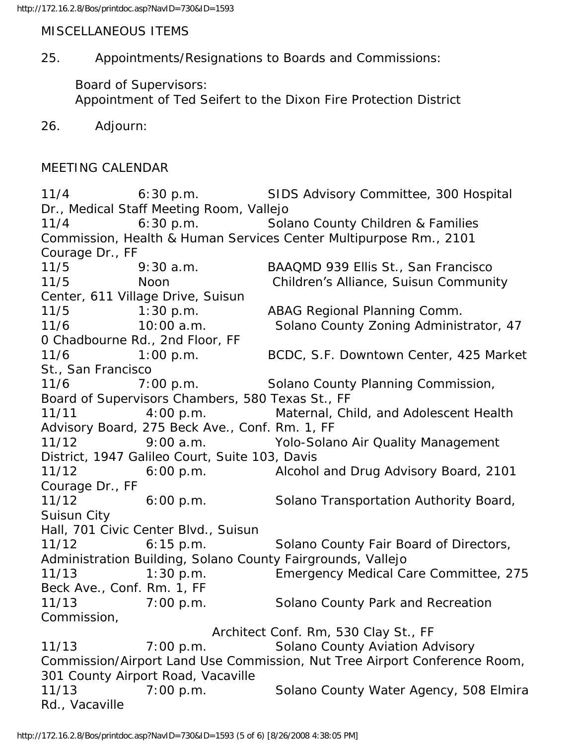MISCELLANEOUS ITEMS

25. Appointments/Resignations to Boards and Commissions:

 Board of Supervisors: Appointment of Ted Seifert to the Dixon Fire Protection District

26. Adjourn:

# MEETING CALENDAR

11/4 6:30 p.m. SIDS Advisory Committee, 300 Hospital Dr., Medical Staff Meeting Room, Vallejo 11/4 6:30 p.m. Solano County Children & Families Commission, Health & Human Services Center Multipurpose Rm., 2101 Courage Dr., FF 11/5 9:30 a.m. BAAQMD 939 Ellis St., San Francisco 11/5 Noon Children's Alliance, Suisun Community Center, 611 Village Drive, Suisun 11/5 1:30 p.m. ABAG Regional Planning Comm. 11/6 10:00 a.m. Solano County Zoning Administrator, 47 0 Chadbourne Rd., 2nd Floor, FF 11/6 1:00 p.m. BCDC, S.F. Downtown Center, 425 Market St., San Francisco 11/6 7:00 p.m. Solano County Planning Commission, Board of Supervisors Chambers, 580 Texas St., FF 11/11 4:00 p.m. Maternal, Child, and Adolescent Health Advisory Board, 275 Beck Ave., Conf. Rm. 1, FF 11/12 9:00 a.m. Yolo-Solano Air Quality Management District, 1947 Galileo Court, Suite 103, Davis 11/12 6:00 p.m. Alcohol and Drug Advisory Board, 2101 Courage Dr., FF 11/12 6:00 p.m. Solano Transportation Authority Board, Suisun City Hall, 701 Civic Center Blvd., Suisun 11/12 6:15 p.m. Solano County Fair Board of Directors, Administration Building, Solano County Fairgrounds, Vallejo 11/13 1:30 p.m. Emergency Medical Care Committee, 275 Beck Ave., Conf. Rm. 1, FF 11/13 7:00 p.m. Solano County Park and Recreation Commission, Architect Conf. Rm, 530 Clay St., FF 11/13 7:00 p.m. Solano County Aviation Advisory Commission/Airport Land Use Commission, Nut Tree Airport Conference Room, 301 County Airport Road, Vacaville 11/13 7:00 p.m. Solano County Water Agency, 508 Elmira Rd., Vacaville